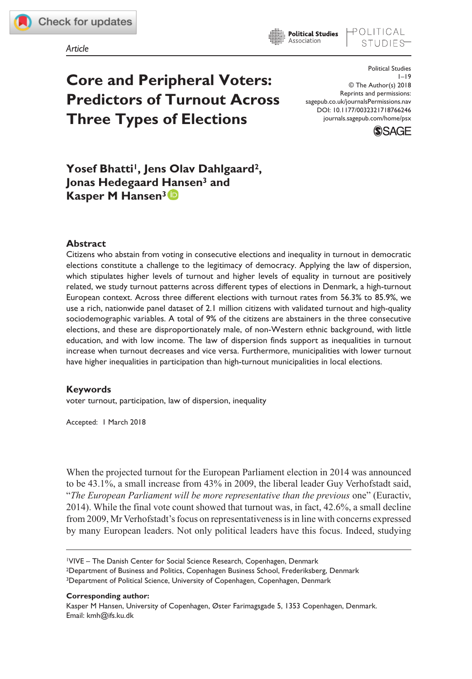**[766246](http://crossmark.crossref.org/dialog/?doi=10.1177%2F0032321718766246&domain=pdf&date_stamp=2018-04-09)** PCX0010.1177/0032321718766246Political Studies**Bhatti et al.**

*Article*

# **Core and Peripheral Voters: Predictors of Turnout Across Three Types of Elections**

https://doi.org/10.1177/0032321718766246 DOI: 10.1177/0032321718766246 Political Studies 1–19 © The Author(s) 2018 Reprints and permissions: [sagepub.co.uk/journalsPermissions.nav](https://uk.sagepub.com/en-gb/journals-permissions) [journals.sagepub.com/home/psx](https://journals.sagepub.com/home/psx)

**Political Studies** Association



Yosef Bhatti<sup>1</sup>, Jens Olav Dahlgaard<sup>2</sup>, **Jonas Hedegaard Hansen3 and Kasper M Hansen3**

### **Abstract**

Citizens who abstain from voting in consecutive elections and inequality in turnout in democratic elections constitute a challenge to the legitimacy of democracy. Applying the law of dispersion, which stipulates higher levels of turnout and higher levels of equality in turnout are positively related, we study turnout patterns across different types of elections in Denmark, a high-turnout European context. Across three different elections with turnout rates from 56.3% to 85.9%, we use a rich, nationwide panel dataset of 2.1 million citizens with validated turnout and high-quality sociodemographic variables. A total of 9% of the citizens are abstainers in the three consecutive elections, and these are disproportionately male, of non-Western ethnic background, with little education, and with low income. The law of dispersion finds support as inequalities in turnout increase when turnout decreases and vice versa. Furthermore, municipalities with lower turnout have higher inequalities in participation than high-turnout municipalities in local elections.

### **Keywords**

voter turnout, participation, law of dispersion, inequality

Accepted: 1 March 2018

When the projected turnout for the European Parliament election in 2014 was announced to be 43.1%, a small increase from 43% in 2009, the liberal leader Guy Verhofstadt said, "*The European Parliament will be more representative than the previous* one" (Euractiv, 2014). While the final vote count showed that turnout was, in fact, 42.6%, a small decline from 2009, Mr Verhofstadt's focus on representativeness is in line with concerns expressed by many European leaders. Not only political leaders have this focus. Indeed, studying

1VIVE – The Danish Center for Social Science Research, Copenhagen, Denmark 2Department of Business and Politics, Copenhagen Business School, Frederiksberg, Denmark <sup>3</sup>Department of Political Science, University of Copenhagen, Copenhagen, Denmark

**Corresponding author:**

Kasper M Hansen, University of Copenhagen, Øster Farimagsgade 5, 1353 Copenhagen, Denmark. Email: kmh@ifs.ku.dk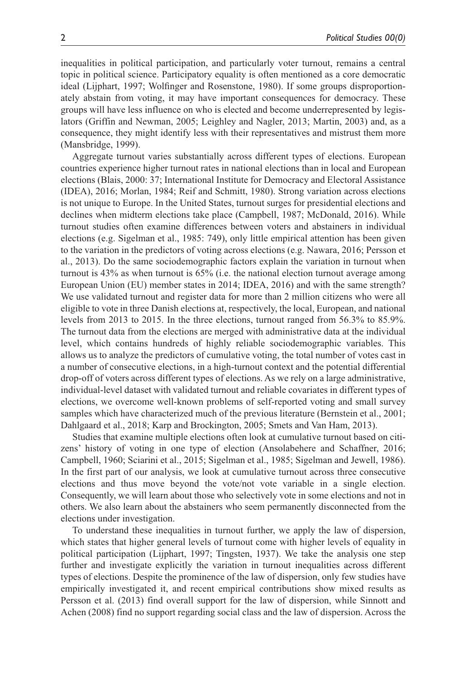inequalities in political participation, and particularly voter turnout, remains a central topic in political science. Participatory equality is often mentioned as a core democratic ideal (Lijphart, 1997; Wolfinger and Rosenstone, 1980). If some groups disproportionately abstain from voting, it may have important consequences for democracy. These groups will have less influence on who is elected and become underrepresented by legislators (Griffin and Newman, 2005; Leighley and Nagler, 2013; Martin, 2003) and, as a consequence, they might identify less with their representatives and mistrust them more (Mansbridge, 1999).

Aggregate turnout varies substantially across different types of elections. European countries experience higher turnout rates in national elections than in local and European elections (Blais, 2000: 37; International Institute for Democracy and Electoral Assistance (IDEA), 2016; Morlan, 1984; Reif and Schmitt, 1980). Strong variation across elections is not unique to Europe. In the United States, turnout surges for presidential elections and declines when midterm elections take place (Campbell, 1987; McDonald, 2016). While turnout studies often examine differences between voters and abstainers in individual elections (e.g. Sigelman et al., 1985: 749), only little empirical attention has been given to the variation in the predictors of voting across elections (e.g. Nawara, 2016; Persson et al., 2013). Do the same sociodemographic factors explain the variation in turnout when turnout is 43% as when turnout is 65% (i.e. the national election turnout average among European Union (EU) member states in 2014; IDEA, 2016) and with the same strength? We use validated turnout and register data for more than 2 million citizens who were all eligible to vote in three Danish elections at, respectively, the local, European, and national levels from 2013 to 2015. In the three elections, turnout ranged from 56.3% to 85.9%. The turnout data from the elections are merged with administrative data at the individual level, which contains hundreds of highly reliable sociodemographic variables. This allows us to analyze the predictors of cumulative voting, the total number of votes cast in a number of consecutive elections, in a high-turnout context and the potential differential drop-off of voters across different types of elections. As we rely on a large administrative, individual-level dataset with validated turnout and reliable covariates in different types of elections, we overcome well-known problems of self-reported voting and small survey samples which have characterized much of the previous literature (Bernstein et al., 2001; Dahlgaard et al., 2018; Karp and Brockington, 2005; Smets and Van Ham, 2013).

Studies that examine multiple elections often look at cumulative turnout based on citizens' history of voting in one type of election (Ansolabehere and Schaffner, 2016; Campbell, 1960; Sciarini et al., 2015; Sigelman et al., 1985; Sigelman and Jewell, 1986). In the first part of our analysis, we look at cumulative turnout across three consecutive elections and thus move beyond the vote/not vote variable in a single election. Consequently, we will learn about those who selectively vote in some elections and not in others. We also learn about the abstainers who seem permanently disconnected from the elections under investigation.

To understand these inequalities in turnout further, we apply the law of dispersion, which states that higher general levels of turnout come with higher levels of equality in political participation (Lijphart, 1997; Tingsten, 1937). We take the analysis one step further and investigate explicitly the variation in turnout inequalities across different types of elections. Despite the prominence of the law of dispersion, only few studies have empirically investigated it, and recent empirical contributions show mixed results as Persson et al. (2013) find overall support for the law of dispersion, while Sinnott and Achen (2008) find no support regarding social class and the law of dispersion. Across the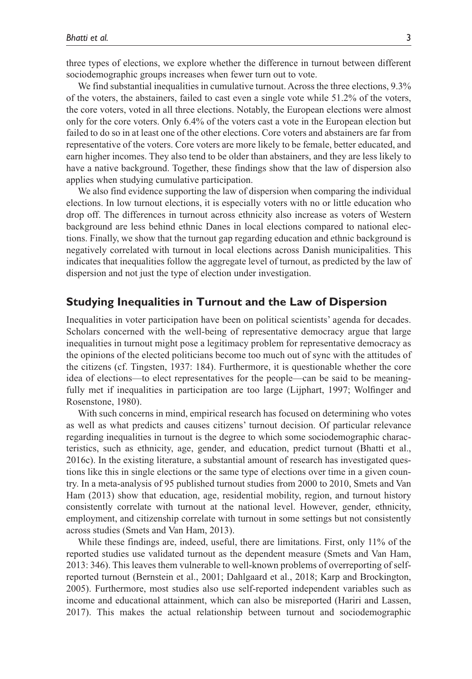three types of elections, we explore whether the difference in turnout between different sociodemographic groups increases when fewer turn out to vote.

We find substantial inequalities in cumulative turnout. Across the three elections, 9.3% of the voters, the abstainers, failed to cast even a single vote while 51.2% of the voters, the core voters, voted in all three elections. Notably, the European elections were almost only for the core voters. Only 6.4% of the voters cast a vote in the European election but failed to do so in at least one of the other elections. Core voters and abstainers are far from representative of the voters. Core voters are more likely to be female, better educated, and earn higher incomes. They also tend to be older than abstainers, and they are less likely to have a native background. Together, these findings show that the law of dispersion also applies when studying cumulative participation.

We also find evidence supporting the law of dispersion when comparing the individual elections. In low turnout elections, it is especially voters with no or little education who drop off. The differences in turnout across ethnicity also increase as voters of Western background are less behind ethnic Danes in local elections compared to national elections. Finally, we show that the turnout gap regarding education and ethnic background is negatively correlated with turnout in local elections across Danish municipalities. This indicates that inequalities follow the aggregate level of turnout, as predicted by the law of dispersion and not just the type of election under investigation.

### **Studying Inequalities in Turnout and the Law of Dispersion**

Inequalities in voter participation have been on political scientists' agenda for decades. Scholars concerned with the well-being of representative democracy argue that large inequalities in turnout might pose a legitimacy problem for representative democracy as the opinions of the elected politicians become too much out of sync with the attitudes of the citizens (cf. Tingsten, 1937: 184). Furthermore, it is questionable whether the core idea of elections—to elect representatives for the people—can be said to be meaningfully met if inequalities in participation are too large (Lijphart, 1997; Wolfinger and Rosenstone, 1980).

With such concerns in mind, empirical research has focused on determining who votes as well as what predicts and causes citizens' turnout decision. Of particular relevance regarding inequalities in turnout is the degree to which some sociodemographic characteristics, such as ethnicity, age, gender, and education, predict turnout (Bhatti et al., 2016c). In the existing literature, a substantial amount of research has investigated questions like this in single elections or the same type of elections over time in a given country. In a meta-analysis of 95 published turnout studies from 2000 to 2010, Smets and Van Ham (2013) show that education, age, residential mobility, region, and turnout history consistently correlate with turnout at the national level. However, gender, ethnicity, employment, and citizenship correlate with turnout in some settings but not consistently across studies (Smets and Van Ham, 2013).

While these findings are, indeed, useful, there are limitations. First, only 11% of the reported studies use validated turnout as the dependent measure (Smets and Van Ham, 2013: 346). This leaves them vulnerable to well-known problems of overreporting of selfreported turnout (Bernstein et al., 2001; Dahlgaard et al., 2018; Karp and Brockington, 2005). Furthermore, most studies also use self-reported independent variables such as income and educational attainment, which can also be misreported (Hariri and Lassen, 2017). This makes the actual relationship between turnout and sociodemographic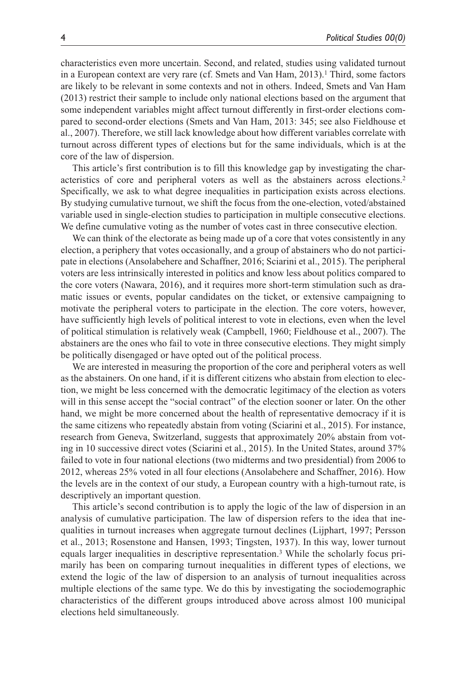characteristics even more uncertain. Second, and related, studies using validated turnout in a European context are very rare (cf. Smets and Van Ham, 2013).<sup>1</sup> Third, some factors are likely to be relevant in some contexts and not in others. Indeed, Smets and Van Ham (2013) restrict their sample to include only national elections based on the argument that some independent variables might affect turnout differently in first-order elections compared to second-order elections (Smets and Van Ham, 2013: 345; see also Fieldhouse et al., 2007). Therefore, we still lack knowledge about how different variables correlate with turnout across different types of elections but for the same individuals, which is at the core of the law of dispersion.

This article's first contribution is to fill this knowledge gap by investigating the characteristics of core and peripheral voters as well as the abstainers across elections.2 Specifically, we ask to what degree inequalities in participation exists across elections. By studying cumulative turnout, we shift the focus from the one-election, voted/abstained variable used in single-election studies to participation in multiple consecutive elections. We define cumulative voting as the number of votes cast in three consecutive election.

We can think of the electorate as being made up of a core that votes consistently in any election, a periphery that votes occasionally, and a group of abstainers who do not participate in elections (Ansolabehere and Schaffner, 2016; Sciarini et al., 2015). The peripheral voters are less intrinsically interested in politics and know less about politics compared to the core voters (Nawara, 2016), and it requires more short-term stimulation such as dramatic issues or events, popular candidates on the ticket, or extensive campaigning to motivate the peripheral voters to participate in the election. The core voters, however, have sufficiently high levels of political interest to vote in elections, even when the level of political stimulation is relatively weak (Campbell, 1960; Fieldhouse et al., 2007). The abstainers are the ones who fail to vote in three consecutive elections. They might simply be politically disengaged or have opted out of the political process.

We are interested in measuring the proportion of the core and peripheral voters as well as the abstainers. On one hand, if it is different citizens who abstain from election to election, we might be less concerned with the democratic legitimacy of the election as voters will in this sense accept the "social contract" of the election sooner or later. On the other hand, we might be more concerned about the health of representative democracy if it is the same citizens who repeatedly abstain from voting (Sciarini et al., 2015). For instance, research from Geneva, Switzerland, suggests that approximately 20% abstain from voting in 10 successive direct votes (Sciarini et al., 2015). In the United States, around 37% failed to vote in four national elections (two midterms and two presidential) from 2006 to 2012, whereas 25% voted in all four elections (Ansolabehere and Schaffner, 2016). How the levels are in the context of our study, a European country with a high-turnout rate, is descriptively an important question.

This article's second contribution is to apply the logic of the law of dispersion in an analysis of cumulative participation. The law of dispersion refers to the idea that inequalities in turnout increases when aggregate turnout declines (Lijphart, 1997; Persson et al., 2013; Rosenstone and Hansen, 1993; Tingsten, 1937). In this way, lower turnout equals larger inequalities in descriptive representation.3 While the scholarly focus primarily has been on comparing turnout inequalities in different types of elections, we extend the logic of the law of dispersion to an analysis of turnout inequalities across multiple elections of the same type. We do this by investigating the sociodemographic characteristics of the different groups introduced above across almost 100 municipal elections held simultaneously.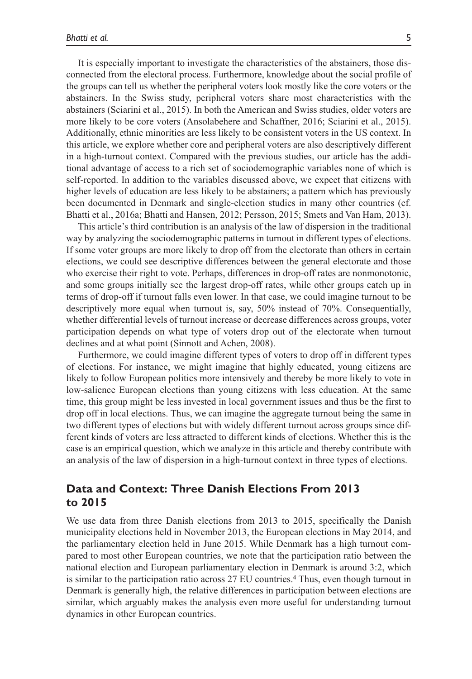It is especially important to investigate the characteristics of the abstainers, those disconnected from the electoral process. Furthermore, knowledge about the social profile of the groups can tell us whether the peripheral voters look mostly like the core voters or the abstainers. In the Swiss study, peripheral voters share most characteristics with the abstainers (Sciarini et al., 2015). In both the American and Swiss studies, older voters are more likely to be core voters (Ansolabehere and Schaffner, 2016; Sciarini et al., 2015). Additionally, ethnic minorities are less likely to be consistent voters in the US context. In this article, we explore whether core and peripheral voters are also descriptively different in a high-turnout context. Compared with the previous studies, our article has the additional advantage of access to a rich set of sociodemographic variables none of which is self-reported. In addition to the variables discussed above, we expect that citizens with higher levels of education are less likely to be abstainers; a pattern which has previously been documented in Denmark and single-election studies in many other countries (cf. Bhatti et al., 2016a; Bhatti and Hansen, 2012; Persson, 2015; Smets and Van Ham, 2013).

This article's third contribution is an analysis of the law of dispersion in the traditional way by analyzing the sociodemographic patterns in turnout in different types of elections. If some voter groups are more likely to drop off from the electorate than others in certain elections, we could see descriptive differences between the general electorate and those who exercise their right to vote. Perhaps, differences in drop-off rates are nonmonotonic, and some groups initially see the largest drop-off rates, while other groups catch up in terms of drop-off if turnout falls even lower. In that case, we could imagine turnout to be descriptively more equal when turnout is, say, 50% instead of 70%. Consequentially, whether differential levels of turnout increase or decrease differences across groups, voter participation depends on what type of voters drop out of the electorate when turnout declines and at what point (Sinnott and Achen, 2008).

Furthermore, we could imagine different types of voters to drop off in different types of elections. For instance, we might imagine that highly educated, young citizens are likely to follow European politics more intensively and thereby be more likely to vote in low-salience European elections than young citizens with less education. At the same time, this group might be less invested in local government issues and thus be the first to drop off in local elections. Thus, we can imagine the aggregate turnout being the same in two different types of elections but with widely different turnout across groups since different kinds of voters are less attracted to different kinds of elections. Whether this is the case is an empirical question, which we analyze in this article and thereby contribute with an analysis of the law of dispersion in a high-turnout context in three types of elections.

# **Data and Context: Three Danish Elections From 2013 to 2015**

We use data from three Danish elections from 2013 to 2015, specifically the Danish municipality elections held in November 2013, the European elections in May 2014, and the parliamentary election held in June 2015. While Denmark has a high turnout compared to most other European countries, we note that the participation ratio between the national election and European parliamentary election in Denmark is around 3:2, which is similar to the participation ratio across 27 EU countries.4 Thus, even though turnout in Denmark is generally high, the relative differences in participation between elections are similar, which arguably makes the analysis even more useful for understanding turnout dynamics in other European countries.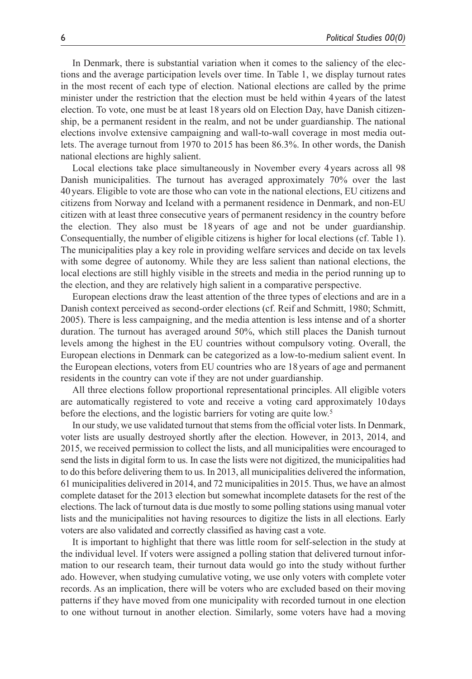In Denmark, there is substantial variation when it comes to the saliency of the elections and the average participation levels over time. In Table 1, we display turnout rates in the most recent of each type of election. National elections are called by the prime minister under the restriction that the election must be held within 4years of the latest election. To vote, one must be at least 18years old on Election Day, have Danish citizenship, be a permanent resident in the realm, and not be under guardianship. The national elections involve extensive campaigning and wall-to-wall coverage in most media outlets. The average turnout from 1970 to 2015 has been 86.3%. In other words, the Danish national elections are highly salient.

Local elections take place simultaneously in November every 4 years across all 98 Danish municipalities. The turnout has averaged approximately 70% over the last 40 years. Eligible to vote are those who can vote in the national elections, EU citizens and citizens from Norway and Iceland with a permanent residence in Denmark, and non-EU citizen with at least three consecutive years of permanent residency in the country before the election. They also must be 18 years of age and not be under guardianship. Consequentially, the number of eligible citizens is higher for local elections (cf. Table 1). The municipalities play a key role in providing welfare services and decide on tax levels with some degree of autonomy. While they are less salient than national elections, the local elections are still highly visible in the streets and media in the period running up to the election, and they are relatively high salient in a comparative perspective.

European elections draw the least attention of the three types of elections and are in a Danish context perceived as second-order elections (cf. Reif and Schmitt, 1980; Schmitt, 2005). There is less campaigning, and the media attention is less intense and of a shorter duration. The turnout has averaged around 50%, which still places the Danish turnout levels among the highest in the EU countries without compulsory voting. Overall, the European elections in Denmark can be categorized as a low-to-medium salient event. In the European elections, voters from EU countries who are 18 years of age and permanent residents in the country can vote if they are not under guardianship.

All three elections follow proportional representational principles. All eligible voters are automatically registered to vote and receive a voting card approximately 10days before the elections, and the logistic barriers for voting are quite low.5

In our study, we use validated turnout that stems from the official voter lists. In Denmark, voter lists are usually destroyed shortly after the election. However, in 2013, 2014, and 2015, we received permission to collect the lists, and all municipalities were encouraged to send the lists in digital form to us. In case the lists were not digitized, the municipalities had to do this before delivering them to us. In 2013, all municipalities delivered the information, 61 municipalities delivered in 2014, and 72 municipalities in 2015. Thus, we have an almost complete dataset for the 2013 election but somewhat incomplete datasets for the rest of the elections. The lack of turnout data is due mostly to some polling stations using manual voter lists and the municipalities not having resources to digitize the lists in all elections. Early voters are also validated and correctly classified as having cast a vote.

It is important to highlight that there was little room for self-selection in the study at the individual level. If voters were assigned a polling station that delivered turnout information to our research team, their turnout data would go into the study without further ado. However, when studying cumulative voting, we use only voters with complete voter records. As an implication, there will be voters who are excluded based on their moving patterns if they have moved from one municipality with recorded turnout in one election to one without turnout in another election. Similarly, some voters have had a moving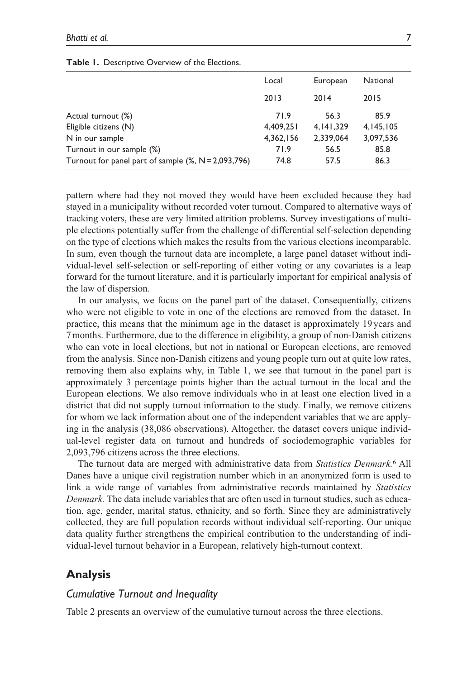|                                                      | Local     | European  | National  |
|------------------------------------------------------|-----------|-----------|-----------|
|                                                      | 2013      | 2014      | 2015      |
| Actual turnout (%)                                   | 71.9      | 56.3      | 85.9      |
| Eligible citizens (N)                                | 4,409,251 | 4,141,329 | 4,145,105 |
| N in our sample                                      | 4,362,156 | 2,339,064 | 3,097,536 |
| Turnout in our sample (%)                            | 71.9      | 56.5      | 85.8      |
| Turnout for panel part of sample $(\%, N=2,093,796)$ | 74.8      | 57.5      | 86.3      |

**Table 1.** Descriptive Overview of the Elections.

pattern where had they not moved they would have been excluded because they had stayed in a municipality without recorded voter turnout. Compared to alternative ways of tracking voters, these are very limited attrition problems. Survey investigations of multiple elections potentially suffer from the challenge of differential self-selection depending on the type of elections which makes the results from the various elections incomparable. In sum, even though the turnout data are incomplete, a large panel dataset without individual-level self-selection or self-reporting of either voting or any covariates is a leap forward for the turnout literature, and it is particularly important for empirical analysis of the law of dispersion.

In our analysis, we focus on the panel part of the dataset. Consequentially, citizens who were not eligible to vote in one of the elections are removed from the dataset. In practice, this means that the minimum age in the dataset is approximately 19years and 7months. Furthermore, due to the difference in eligibility, a group of non-Danish citizens who can vote in local elections, but not in national or European elections, are removed from the analysis. Since non-Danish citizens and young people turn out at quite low rates, removing them also explains why, in Table 1, we see that turnout in the panel part is approximately 3 percentage points higher than the actual turnout in the local and the European elections. We also remove individuals who in at least one election lived in a district that did not supply turnout information to the study. Finally, we remove citizens for whom we lack information about one of the independent variables that we are applying in the analysis (38,086 observations). Altogether, the dataset covers unique individual-level register data on turnout and hundreds of sociodemographic variables for 2,093,796 citizens across the three elections.

The turnout data are merged with administrative data from *Statistics Denmark.*6 All Danes have a unique civil registration number which in an anonymized form is used to link a wide range of variables from administrative records maintained by *Statistics Denmark.* The data include variables that are often used in turnout studies, such as education, age, gender, marital status, ethnicity, and so forth. Since they are administratively collected, they are full population records without individual self-reporting. Our unique data quality further strengthens the empirical contribution to the understanding of individual-level turnout behavior in a European, relatively high-turnout context.

# **Analysis**

### *Cumulative Turnout and Inequality*

Table 2 presents an overview of the cumulative turnout across the three elections.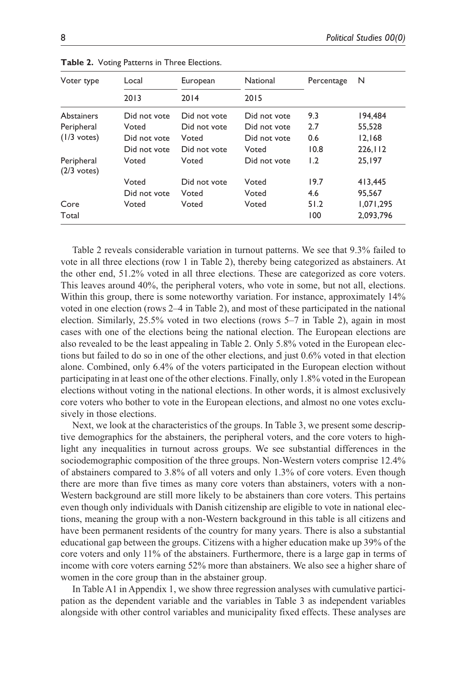| Voter type                  | Local        | European     | National     | Percentage  | N                      |
|-----------------------------|--------------|--------------|--------------|-------------|------------------------|
|                             | 2013         | 2014         | 2015         |             |                        |
| Abstainers                  | Did not vote | Did not vote | Did not vote | 9.3         | 194,484                |
| Peripheral                  | Voted        | Did not vote | Did not vote | 2.7         | 55.528                 |
| $(1/3$ votes)               | Did not vote | Voted        | Did not vote | 0.6         | 12,168                 |
|                             | Did not vote | Did not vote | Voted        | 10.8        | 226.112                |
| Peripheral<br>$(2/3$ votes) | Voted        | Voted        | Did not vote | 1.2         | 25,197                 |
|                             | Voted        | Did not vote | Voted        | 19.7        | 413,445                |
|                             | Did not vote | Voted        | Voted        | 4.6         | 95,567                 |
| Core<br>Total               | Voted        | Voted        | Voted        | 51.2<br>100 | 1.071.295<br>2,093,796 |

**Table 2.** Voting Patterns in Three Elections.

Table 2 reveals considerable variation in turnout patterns. We see that 9.3% failed to vote in all three elections (row 1 in Table 2), thereby being categorized as abstainers. At the other end, 51.2% voted in all three elections. These are categorized as core voters. This leaves around 40%, the peripheral voters, who vote in some, but not all, elections. Within this group, there is some noteworthy variation. For instance, approximately 14% voted in one election (rows 2–4 in Table 2), and most of these participated in the national election. Similarly, 25.5% voted in two elections (rows 5–7 in Table 2), again in most cases with one of the elections being the national election. The European elections are also revealed to be the least appealing in Table 2. Only 5.8% voted in the European elections but failed to do so in one of the other elections, and just 0.6% voted in that election alone. Combined, only 6.4% of the voters participated in the European election without participating in at least one of the other elections. Finally, only 1.8% voted in the European elections without voting in the national elections. In other words, it is almost exclusively core voters who bother to vote in the European elections, and almost no one votes exclusively in those elections.

Next, we look at the characteristics of the groups. In Table 3, we present some descriptive demographics for the abstainers, the peripheral voters, and the core voters to highlight any inequalities in turnout across groups. We see substantial differences in the sociodemographic composition of the three groups. Non-Western voters comprise 12.4% of abstainers compared to 3.8% of all voters and only 1.3% of core voters. Even though there are more than five times as many core voters than abstainers, voters with a non-Western background are still more likely to be abstainers than core voters. This pertains even though only individuals with Danish citizenship are eligible to vote in national elections, meaning the group with a non-Western background in this table is all citizens and have been permanent residents of the country for many years. There is also a substantial educational gap between the groups. Citizens with a higher education make up 39% of the core voters and only 11% of the abstainers. Furthermore, there is a large gap in terms of income with core voters earning 52% more than abstainers. We also see a higher share of women in the core group than in the abstainer group.

In Table A1 in Appendix 1, we show three regression analyses with cumulative participation as the dependent variable and the variables in Table 3 as independent variables alongside with other control variables and municipality fixed effects. These analyses are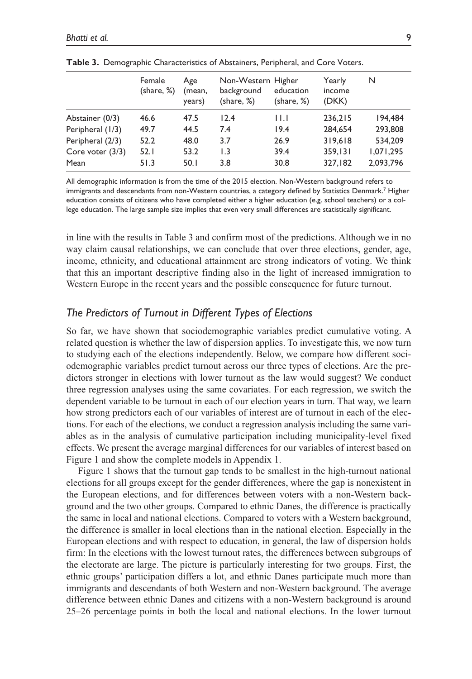| Female<br>(share, %) | Age<br>(mean,<br>years) | background<br>(share, %) | education<br>(shere, %) | Yearly<br>income<br>(DKK)  | N                             |
|----------------------|-------------------------|--------------------------|-------------------------|----------------------------|-------------------------------|
| 46.6                 | 47.5                    | 12.4                     | 11.1                    |                            | 194.484                       |
| 49.7                 | 44.5                    | 7.4                      | 19.4                    |                            | 293,808                       |
| 52.2                 | 48.0                    | 3.7                      | 26.9                    | 319,618                    | 534,209                       |
| 52.1                 | 53.2                    | 1.3                      | 39.4                    | 359,131                    | 1,071,295<br>2,093,796        |
|                      | 51.3                    | 50.I                     | 3.8                     | Non-Western Higher<br>30.8 | 236.215<br>284.654<br>327,182 |

**Table 3.** Demographic Characteristics of Abstainers, Peripheral, and Core Voters.

All demographic information is from the time of the 2015 election. Non-Western background refers to immigrants and descendants from non-Western countries, a category defined by Statistics Denmark.<sup>7</sup> Higher education consists of citizens who have completed either a higher education (e.g. school teachers) or a college education. The large sample size implies that even very small differences are statistically significant.

in line with the results in Table 3 and confirm most of the predictions. Although we in no way claim causal relationships, we can conclude that over three elections, gender, age, income, ethnicity, and educational attainment are strong indicators of voting. We think that this an important descriptive finding also in the light of increased immigration to Western Europe in the recent years and the possible consequence for future turnout.

### *The Predictors of Turnout in Different Types of Elections*

So far, we have shown that sociodemographic variables predict cumulative voting. A related question is whether the law of dispersion applies. To investigate this, we now turn to studying each of the elections independently. Below, we compare how different sociodemographic variables predict turnout across our three types of elections. Are the predictors stronger in elections with lower turnout as the law would suggest? We conduct three regression analyses using the same covariates. For each regression, we switch the dependent variable to be turnout in each of our election years in turn. That way, we learn how strong predictors each of our variables of interest are of turnout in each of the elections. For each of the elections, we conduct a regression analysis including the same variables as in the analysis of cumulative participation including municipality-level fixed effects. We present the average marginal differences for our variables of interest based on Figure 1 and show the complete models in Appendix 1.

Figure 1 shows that the turnout gap tends to be smallest in the high-turnout national elections for all groups except for the gender differences, where the gap is nonexistent in the European elections, and for differences between voters with a non-Western background and the two other groups. Compared to ethnic Danes, the difference is practically the same in local and national elections. Compared to voters with a Western background, the difference is smaller in local elections than in the national election. Especially in the European elections and with respect to education, in general, the law of dispersion holds firm: In the elections with the lowest turnout rates, the differences between subgroups of the electorate are large. The picture is particularly interesting for two groups. First, the ethnic groups' participation differs a lot, and ethnic Danes participate much more than immigrants and descendants of both Western and non-Western background. The average difference between ethnic Danes and citizens with a non-Western background is around 25–26 percentage points in both the local and national elections. In the lower turnout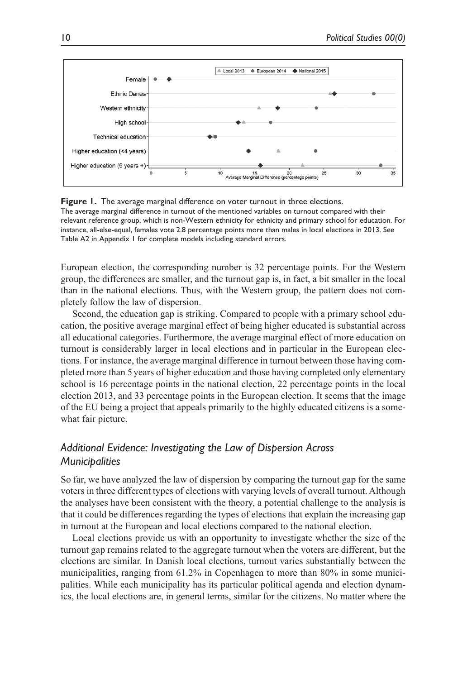

#### **Figure 1.** The average marginal difference on voter turnout in three elections. The average marginal difference in turnout of the mentioned variables on turnout compared with their relevant reference group, which is non-Western ethnicity for ethnicity and primary school for education. For instance, all-else-equal, females vote 2.8 percentage points more than males in local elections in 2013. See Table A2 in Appendix 1 for complete models including standard errors.

European election, the corresponding number is 32 percentage points. For the Western group, the differences are smaller, and the turnout gap is, in fact, a bit smaller in the local than in the national elections. Thus, with the Western group, the pattern does not completely follow the law of dispersion.

Second, the education gap is striking. Compared to people with a primary school education, the positive average marginal effect of being higher educated is substantial across all educational categories. Furthermore, the average marginal effect of more education on turnout is considerably larger in local elections and in particular in the European elections. For instance, the average marginal difference in turnout between those having completed more than 5 years of higher education and those having completed only elementary school is 16 percentage points in the national election, 22 percentage points in the local election 2013, and 33 percentage points in the European election. It seems that the image of the EU being a project that appeals primarily to the highly educated citizens is a somewhat fair picture.

# *Additional Evidence: Investigating the Law of Dispersion Across Municipalities*

So far, we have analyzed the law of dispersion by comparing the turnout gap for the same voters in three different types of elections with varying levels of overall turnout. Although the analyses have been consistent with the theory, a potential challenge to the analysis is that it could be differences regarding the types of elections that explain the increasing gap in turnout at the European and local elections compared to the national election.

Local elections provide us with an opportunity to investigate whether the size of the turnout gap remains related to the aggregate turnout when the voters are different, but the elections are similar. In Danish local elections, turnout varies substantially between the municipalities, ranging from 61.2% in Copenhagen to more than 80% in some municipalities. While each municipality has its particular political agenda and election dynamics, the local elections are, in general terms, similar for the citizens. No matter where the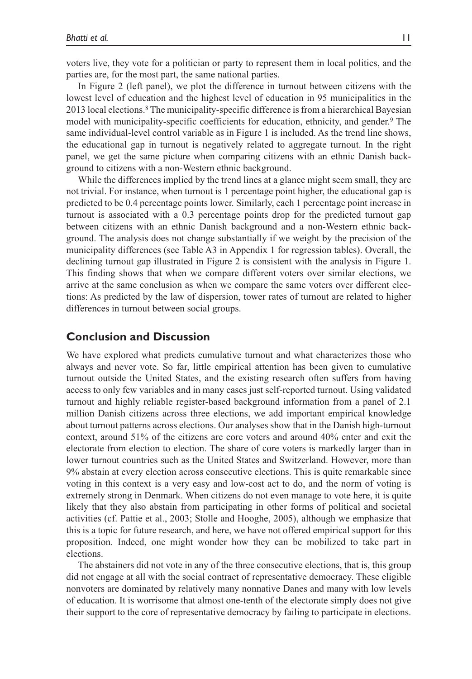voters live, they vote for a politician or party to represent them in local politics, and the parties are, for the most part, the same national parties.

In Figure 2 (left panel), we plot the difference in turnout between citizens with the lowest level of education and the highest level of education in 95 municipalities in the 2013 local elections.8 The municipality-specific difference is from a hierarchical Bayesian model with municipality-specific coefficients for education, ethnicity, and gender.<sup>9</sup> The same individual-level control variable as in Figure 1 is included. As the trend line shows, the educational gap in turnout is negatively related to aggregate turnout. In the right panel, we get the same picture when comparing citizens with an ethnic Danish background to citizens with a non-Western ethnic background.

While the differences implied by the trend lines at a glance might seem small, they are not trivial. For instance, when turnout is 1 percentage point higher, the educational gap is predicted to be 0.4 percentage points lower. Similarly, each 1 percentage point increase in turnout is associated with a 0.3 percentage points drop for the predicted turnout gap between citizens with an ethnic Danish background and a non-Western ethnic background. The analysis does not change substantially if we weight by the precision of the municipality differences (see Table A3 in Appendix 1 for regression tables). Overall, the declining turnout gap illustrated in Figure 2 is consistent with the analysis in Figure 1. This finding shows that when we compare different voters over similar elections, we arrive at the same conclusion as when we compare the same voters over different elections: As predicted by the law of dispersion, tower rates of turnout are related to higher differences in turnout between social groups.

# **Conclusion and Discussion**

We have explored what predicts cumulative turnout and what characterizes those who always and never vote. So far, little empirical attention has been given to cumulative turnout outside the United States, and the existing research often suffers from having access to only few variables and in many cases just self-reported turnout. Using validated turnout and highly reliable register-based background information from a panel of 2.1 million Danish citizens across three elections, we add important empirical knowledge about turnout patterns across elections. Our analyses show that in the Danish high-turnout context, around 51% of the citizens are core voters and around 40% enter and exit the electorate from election to election. The share of core voters is markedly larger than in lower turnout countries such as the United States and Switzerland. However, more than 9% abstain at every election across consecutive elections. This is quite remarkable since voting in this context is a very easy and low-cost act to do, and the norm of voting is extremely strong in Denmark. When citizens do not even manage to vote here, it is quite likely that they also abstain from participating in other forms of political and societal activities (cf. Pattie et al., 2003; Stolle and Hooghe, 2005), although we emphasize that this is a topic for future research, and here, we have not offered empirical support for this proposition. Indeed, one might wonder how they can be mobilized to take part in elections.

The abstainers did not vote in any of the three consecutive elections, that is, this group did not engage at all with the social contract of representative democracy. These eligible nonvoters are dominated by relatively many nonnative Danes and many with low levels of education. It is worrisome that almost one-tenth of the electorate simply does not give their support to the core of representative democracy by failing to participate in elections.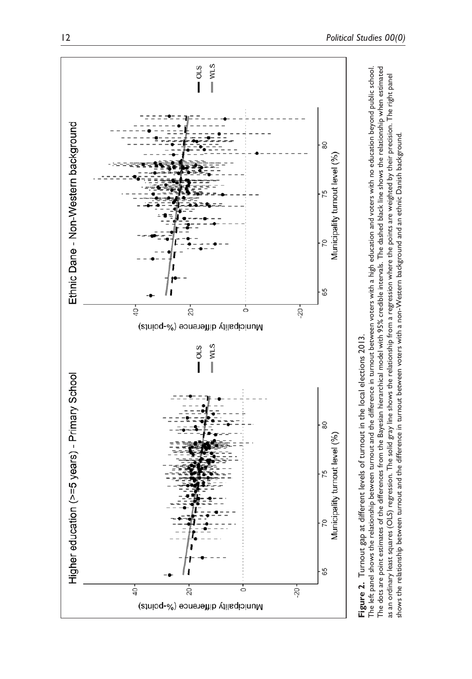

**Figure 2.** Turnout gap at different levels of turnout in the local elections 2013.<br>The left panel shows the relationship between turnout and the difference in turnout between voters with a high education and voters with n The left panel shows the relationship between turnout and the difference in turnout between voters with a high education and voters with no education beyond public school. The dots are point estimates of the differences from the Bayesian hierarchical model with 95% credible intervals. The dashed black line shows the relationship when estimated as an ordinary least squares (OLS) regression. The solid gray line shows the relationship from a regression where the points are weighted by their precision. The right panel shows the relationship between turnout and the difference in turnout between voters with a non-Western background and an ethnic Danish background.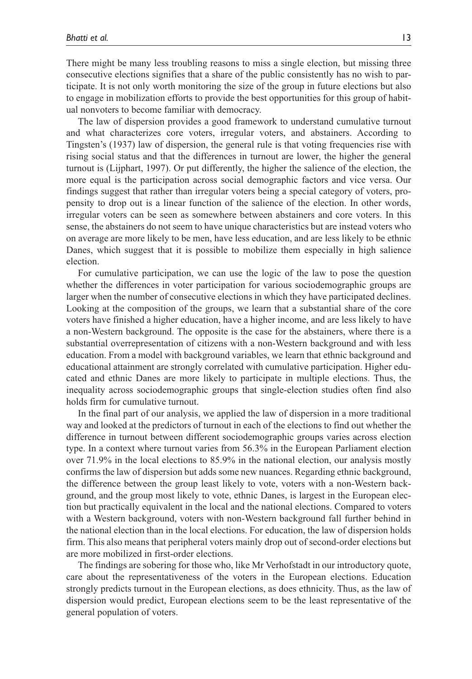There might be many less troubling reasons to miss a single election, but missing three consecutive elections signifies that a share of the public consistently has no wish to participate. It is not only worth monitoring the size of the group in future elections but also to engage in mobilization efforts to provide the best opportunities for this group of habitual nonvoters to become familiar with democracy.

The law of dispersion provides a good framework to understand cumulative turnout and what characterizes core voters, irregular voters, and abstainers. According to Tingsten's (1937) law of dispersion, the general rule is that voting frequencies rise with rising social status and that the differences in turnout are lower, the higher the general turnout is (Lijphart, 1997). Or put differently, the higher the salience of the election, the more equal is the participation across social demographic factors and vice versa. Our findings suggest that rather than irregular voters being a special category of voters, propensity to drop out is a linear function of the salience of the election. In other words, irregular voters can be seen as somewhere between abstainers and core voters. In this sense, the abstainers do not seem to have unique characteristics but are instead voters who on average are more likely to be men, have less education, and are less likely to be ethnic Danes, which suggest that it is possible to mobilize them especially in high salience election.

For cumulative participation, we can use the logic of the law to pose the question whether the differences in voter participation for various sociodemographic groups are larger when the number of consecutive elections in which they have participated declines. Looking at the composition of the groups, we learn that a substantial share of the core voters have finished a higher education, have a higher income, and are less likely to have a non-Western background. The opposite is the case for the abstainers, where there is a substantial overrepresentation of citizens with a non-Western background and with less education. From a model with background variables, we learn that ethnic background and educational attainment are strongly correlated with cumulative participation. Higher educated and ethnic Danes are more likely to participate in multiple elections. Thus, the inequality across sociodemographic groups that single-election studies often find also holds firm for cumulative turnout.

In the final part of our analysis, we applied the law of dispersion in a more traditional way and looked at the predictors of turnout in each of the elections to find out whether the difference in turnout between different sociodemographic groups varies across election type. In a context where turnout varies from 56.3% in the European Parliament election over 71.9% in the local elections to 85.9% in the national election, our analysis mostly confirms the law of dispersion but adds some new nuances. Regarding ethnic background, the difference between the group least likely to vote, voters with a non-Western background, and the group most likely to vote, ethnic Danes, is largest in the European election but practically equivalent in the local and the national elections. Compared to voters with a Western background, voters with non-Western background fall further behind in the national election than in the local elections. For education, the law of dispersion holds firm. This also means that peripheral voters mainly drop out of second-order elections but are more mobilized in first-order elections.

The findings are sobering for those who, like Mr Verhofstadt in our introductory quote, care about the representativeness of the voters in the European elections. Education strongly predicts turnout in the European elections, as does ethnicity. Thus, as the law of dispersion would predict, European elections seem to be the least representative of the general population of voters.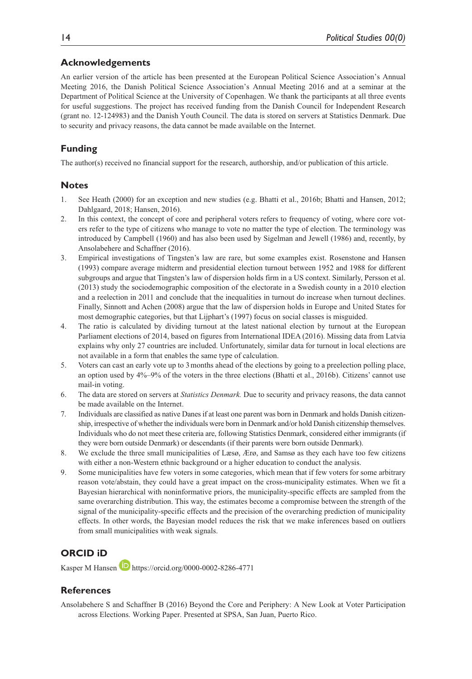# **Acknowledgements**

An earlier version of the article has been presented at the European Political Science Association's Annual Meeting 2016, the Danish Political Science Association's Annual Meeting 2016 and at a seminar at the Department of Political Science at the University of Copenhagen. We thank the participants at all three events for useful suggestions. The project has received funding from the Danish Council for Independent Research (grant no. 12-124983) and the Danish Youth Council. The data is stored on servers at Statistics Denmark. Due to security and privacy reasons, the data cannot be made available on the Internet.

# **Funding**

The author(s) received no financial support for the research, authorship, and/or publication of this article.

### **Notes**

- 1. See Heath (2000) for an exception and new studies (e.g. Bhatti et al., 2016b; Bhatti and Hansen, 2012; Dahlgaard, 2018; Hansen, 2016).
- 2. In this context, the concept of core and peripheral voters refers to frequency of voting, where core voters refer to the type of citizens who manage to vote no matter the type of election. The terminology was introduced by Campbell (1960) and has also been used by Sigelman and Jewell (1986) and, recently, by Ansolabehere and Schaffner (2016).
- 3. Empirical investigations of Tingsten's law are rare, but some examples exist. Rosenstone and Hansen (1993) compare average midterm and presidential election turnout between 1952 and 1988 for different subgroups and argue that Tingsten's law of dispersion holds firm in a US context. Similarly, Persson et al. (2013) study the sociodemographic composition of the electorate in a Swedish county in a 2010 election and a reelection in 2011 and conclude that the inequalities in turnout do increase when turnout declines. Finally, Sinnott and Achen (2008) argue that the law of dispersion holds in Europe and United States for most demographic categories, but that Lijphart's (1997) focus on social classes is misguided.
- 4. The ratio is calculated by dividing turnout at the latest national election by turnout at the European Parliament elections of 2014, based on figures from International IDEA (2016). Missing data from Latvia explains why only 27 countries are included. Unfortunately, similar data for turnout in local elections are not available in a form that enables the same type of calculation.
- 5. Voters can cast an early vote up to 3months ahead of the elections by going to a preelection polling place, an option used by 4%–9% of the voters in the three elections (Bhatti et al., 2016b). Citizens' cannot use mail-in voting.
- 6. The data are stored on servers at *Statistics Denmark.* Due to security and privacy reasons, the data cannot be made available on the Internet.
- 7. Individuals are classified as native Danes if at least one parent was born in Denmark and holds Danish citizenship, irrespective of whether the individuals were born in Denmark and/or hold Danish citizenship themselves. Individuals who do not meet these criteria are, following Statistics Denmark, considered either immigrants (if they were born outside Denmark) or descendants (if their parents were born outside Denmark).
- 8. We exclude the three small municipalities of Læsø, Ærø, and Samsø as they each have too few citizens with either a non-Western ethnic background or a higher education to conduct the analysis.
- 9. Some municipalities have few voters in some categories, which mean that if few voters for some arbitrary reason vote/abstain, they could have a great impact on the cross-municipality estimates. When we fit a Bayesian hierarchical with noninformative priors, the municipality-specific effects are sampled from the same overarching distribution. This way, the estimates become a compromise between the strength of the signal of the municipality-specific effects and the precision of the overarching prediction of municipality effects. In other words, the Bayesian model reduces the risk that we make inferences based on outliers from small municipalities with weak signals.

# **ORCID iD**

Kasper M Hansen https://orcid.org/0000-0002-8286-4771

# **References**

Ansolabehere S and Schaffner B (2016) Beyond the Core and Periphery: A New Look at Voter Participation across Elections. Working Paper. Presented at SPSA, San Juan, Puerto Rico.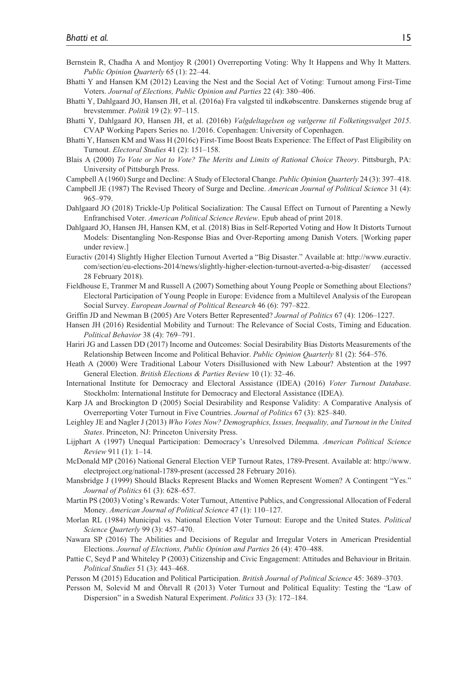- Bernstein R, Chadha A and Montjoy R (2001) Overreporting Voting: Why It Happens and Why It Matters. *Public Opinion Quarterly* 65 (1): 22–44.
- Bhatti Y and Hansen KM (2012) Leaving the Nest and the Social Act of Voting: Turnout among First-Time Voters. *Journal of Elections, Public Opinion and Parties* 22 (4): 380–406.
- Bhatti Y, Dahlgaard JO, Hansen JH, et al. (2016a) Fra valgsted til indkøbscentre. Danskernes stigende brug af brevstemmer. *Politik* 19 (2): 97–115.
- Bhatti Y, Dahlgaard JO, Hansen JH, et al. (2016b) *Valgdeltagelsen og vælgerne til Folketingsvalget 2015*. CVAP Working Papers Series no. 1/2016. Copenhagen: University of Copenhagen.
- Bhatti Y, Hansen KM and Wass H (2016c) First-Time Boost Beats Experience: The Effect of Past Eligibility on Turnout. *Electoral Studies* 41 (2): 151–158.
- Blais A (2000) *To Vote or Not to Vote? The Merits and Limits of Rational Choice Theory*. Pittsburgh, PA: University of Pittsburgh Press.

Campbell A (1960) Surge and Decline: A Study of Electoral Change. *Public Opinion Quarterly* 24 (3): 397–418.

- Campbell JE (1987) The Revised Theory of Surge and Decline. *American Journal of Political Science* 31 (4): 965–979.
- Dahlgaard JO (2018) Trickle-Up Political Socialization: The Causal Effect on Turnout of Parenting a Newly Enfranchised Voter. *American Political Science Review*. Epub ahead of print 2018.
- Dahlgaard JO, Hansen JH, Hansen KM, et al. (2018) Bias in Self-Reported Voting and How It Distorts Turnout Models: Disentangling Non-Response Bias and Over-Reporting among Danish Voters. [Working paper under review.]
- Euractiv (2014) Slightly Higher Election Turnout Averted a "Big Disaster." Available at: http://www.euractiv. com/section/eu-elections-2014/news/slightly-higher-election-turnout-averted-a-big-disaster/ (accessed 28 February 2018).
- Fieldhouse E, Tranmer M and Russell A (2007) Something about Young People or Something about Elections? Electoral Participation of Young People in Europe: Evidence from a Multilevel Analysis of the European Social Survey. *European Journal of Political Research* 46 (6): 797–822.
- Griffin JD and Newman B (2005) Are Voters Better Represented? *Journal of Politics* 67 (4): 1206–1227.
- Hansen JH (2016) Residential Mobility and Turnout: The Relevance of Social Costs, Timing and Education. *Political Behavior* 38 (4): 769–791.
- Hariri JG and Lassen DD (2017) Income and Outcomes: Social Desirability Bias Distorts Measurements of the Relationship Between Income and Political Behavior. *Public Opinion Quarterly* 81 (2): 564–576.
- Heath A (2000) Were Traditional Labour Voters Disillusioned with New Labour? Abstention at the 1997 General Election. *British Elections & Parties Review* 10 (1): 32–46.
- International Institute for Democracy and Electoral Assistance (IDEA) (2016) *Voter Turnout Database*. Stockholm: International Institute for Democracy and Electoral Assistance (IDEA).
- Karp JA and Brockington D (2005) Social Desirability and Response Validity: A Comparative Analysis of Overreporting Voter Turnout in Five Countries. *Journal of Politics* 67 (3): 825–840.
- Leighley JE and Nagler J (2013) *Who Votes Now? Demographics, Issues, Inequality, and Turnout in the United States*. Princeton, NJ: Princeton University Press.
- Lijphart A (1997) Unequal Participation: Democracy's Unresolved Dilemma. *American Political Science Review* 911 (1): 1–14.
- McDonald MP (2016) National General Election VEP Turnout Rates, 1789-Present. Available at: http://www. electproject.org/national-1789-present (accessed 28 February 2016).
- Mansbridge J (1999) Should Blacks Represent Blacks and Women Represent Women? A Contingent "Yes." *Journal of Politics* 61 (3): 628–657.
- Martin PS (2003) Voting's Rewards: Voter Turnout, Attentive Publics, and Congressional Allocation of Federal Money. *American Journal of Political Science* 47 (1): 110–127.
- Morlan RL (1984) Municipal vs. National Election Voter Turnout: Europe and the United States. *Political Science Quarterly* 99 (3): 457–470.
- Nawara SP (2016) The Abilities and Decisions of Regular and Irregular Voters in American Presidential Elections. *Journal of Elections, Public Opinion and Parties* 26 (4): 470–488.
- Pattie C, Seyd P and Whiteley P (2003) Citizenship and Civic Engagement: Attitudes and Behaviour in Britain. *Political Studies* 51 (3): 443–468.
- Persson M (2015) Education and Political Participation. *British Journal of Political Science* 45: 3689–3703.
- Persson M, Solevid M and Öhrvall R (2013) Voter Turnout and Political Equality: Testing the "Law of Dispersion" in a Swedish Natural Experiment. *Politics* 33 (3): 172–184.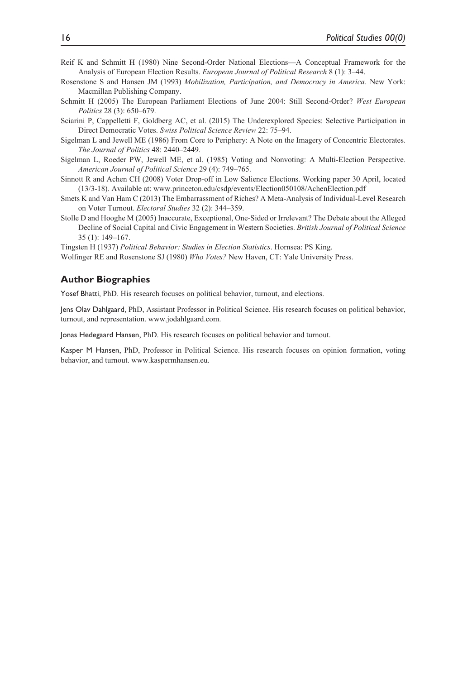- Reif K and Schmitt H (1980) Nine Second-Order National Elections—A Conceptual Framework for the Analysis of European Election Results. *European Journal of Political Research* 8 (1): 3–44.
- Rosenstone S and Hansen JM (1993) *Mobilization, Participation, and Democracy in America*. New York: Macmillan Publishing Company.
- Schmitt H (2005) The European Parliament Elections of June 2004: Still Second-Order? *West European Politics* 28 (3): 650–679.
- Sciarini P, Cappelletti F, Goldberg AC, et al. (2015) The Underexplored Species: Selective Participation in Direct Democratic Votes. *Swiss Political Science Review* 22: 75–94.
- Sigelman L and Jewell ME (1986) From Core to Periphery: A Note on the Imagery of Concentric Electorates. *The Journal of Politics* 48: 2440–2449.
- Sigelman L, Roeder PW, Jewell ME, et al. (1985) Voting and Nonvoting: A Multi-Election Perspective. *American Journal of Political Science* 29 (4): 749–765.
- Sinnott R and Achen CH (2008) Voter Drop-off in Low Salience Elections. Working paper 30 April, located (13/3-18). Available at: [www.princeton.edu/csdp/events/Election050108/AchenElection.pdf](http://www.princeton.edu/csdp/events/Election050108/AchenElection.pdf)
- Smets K and Van Ham C (2013) The Embarrassment of Riches? A Meta-Analysis of Individual-Level Research on Voter Turnout. *Electoral Studies* 32 (2): 344–359.
- Stolle D and Hooghe M (2005) Inaccurate, Exceptional, One-Sided or Irrelevant? The Debate about the Alleged Decline of Social Capital and Civic Engagement in Western Societies. *British Journal of Political Science* 35 (1): 149–167.

Tingsten H (1937) *Political Behavior: Studies in Election Statistics*. Hornsea: PS King. Wolfinger RE and Rosenstone SJ (1980) *Who Votes?* New Haven, CT: Yale University Press.

#### **Author Biographies**

Yosef Bhatti, PhD. His research focuses on political behavior, turnout, and elections.

Jens Olav Dahlgaard, PhD, Assistant Professor in Political Science. His research focuses on political behavior, turnout, and representation. [www.jodahlgaard.com](http://www.jodahlgaard.com).

Jonas Hedegaard Hansen, PhD. His research focuses on political behavior and turnout.

Kasper M Hansen, PhD, Professor in Political Science. His research focuses on opinion formation, voting behavior, and turnout. [www.kaspermhansen.eu](http://www.kaspermhansen.eu).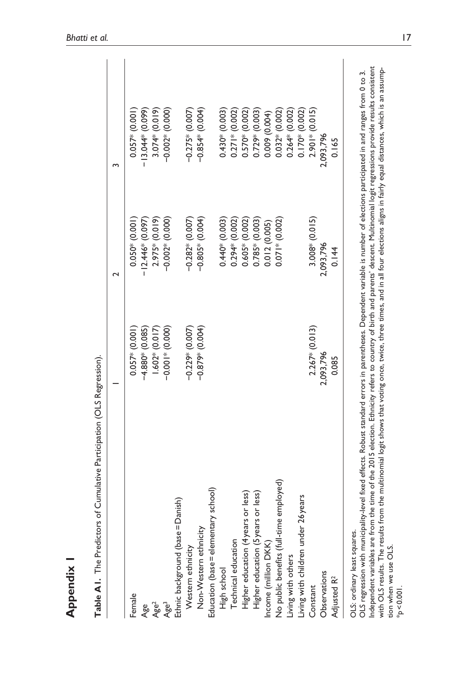|                                            |                   | $\mathbf 2$       | m                  |
|--------------------------------------------|-------------------|-------------------|--------------------|
| Female                                     | $0.057* (0.001)$  | $0.050* (0.001)$  | $0.057*(0.001)$    |
| Age                                        | $-4.880*$ (0.085) | $-12.446*(0.097)$ | $-13.044*(0.099)$  |
| Age <sup>2</sup>                           | $1.602*(0.017)$   | $2.975*(0.019)$   | $3.074*(0.019)$    |
| Age <sup>3</sup>                           | $-0.001*(0.000)$  | $-0.002*(0.000)$  | $-0.002*(0.000)$   |
| Ethnic background (base = Danish)          |                   |                   |                    |
| Western ethnicity                          | $-0.229* (0.007)$ | $-0.282*(0.007)$  | $-0.275*(0.007)$   |
| Non-Western ethnicity                      | $-0.879*(0.004)$  | $-0.805*(0.004)$  | $-0.854*(0.004)$   |
| Education (base=elementary school)         |                   |                   |                    |
| High school                                |                   | $0.440*(0.003)$   | $0.430^{*}(0.003)$ |
| <b>Technical education</b>                 |                   | $0.294*(0.002)$   | $0.271*(0.002)$    |
| Higher education (4 years or less)         |                   | $0.605*(0.002)$   | $0.570^{*}(0.002)$ |
| Higher education (5 years or less)         |                   | $0.785*(0.003)$   | 0.729* (0.003)     |
| Income (million DKK)                       |                   | 0.012(0.005)      | 0.009 (0.004)      |
| ල්<br>No public benefits (full-time employ |                   | $0.071* (0.002)$  | $0.032*(0.002)$    |
| Living with others                         |                   |                   | $0.264*(0.002)$    |
| Living with children under 26 years        |                   |                   | $0.170* (0.002)$   |
| Constant                                   | $2.267* (0.013)$  | $3.008*(0.015)$   | $2.901*(0.015)$    |
| Observations                               | 2,093,796         | 2,093,796         | 2,093,796          |
| Adjusted R <sup>2</sup>                    | 0.085             | 0.144             | 0.165              |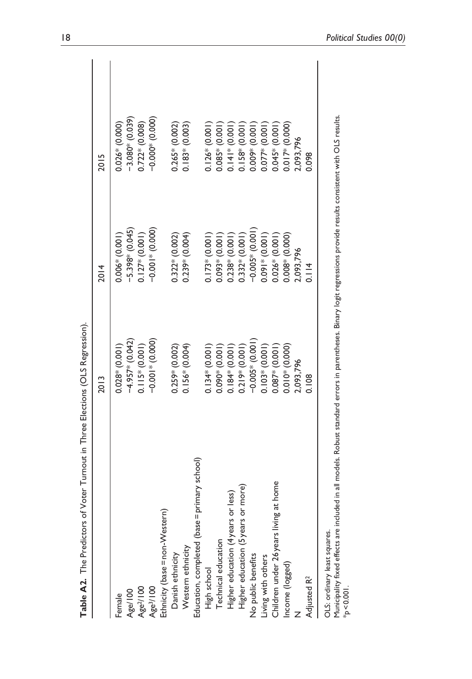| Table A2. The Predictors                                                                                                                                                                                                    | of Voter Turnout in Three Elections (OLS Regression). |                   |                   |
|-----------------------------------------------------------------------------------------------------------------------------------------------------------------------------------------------------------------------------|-------------------------------------------------------|-------------------|-------------------|
|                                                                                                                                                                                                                             | 2013                                                  | 2014              | 2015              |
| Female                                                                                                                                                                                                                      | $0.028*(0.001)$                                       | $0.006* (0.001)$  | $0.026* (0.000)$  |
| Age/100                                                                                                                                                                                                                     | $-4.957*(0.042)$                                      | $-5.398*(0.045)$  | $-3.080*(0.039)$  |
| Age <sup>2</sup> /100                                                                                                                                                                                                       | $0.115*(0.001)$                                       | $0.127*(0.001)$   | $0.722* (0.008)$  |
| Age <sup>3</sup> /100                                                                                                                                                                                                       | $-0.001*$ (0.000)                                     | $-0.001*$ (0.000) | $-0.000*$ (0.000) |
| Ethnicity (base = non-Western)                                                                                                                                                                                              |                                                       |                   |                   |
| Danish ethnicity                                                                                                                                                                                                            | $0.259* (0.002)$                                      | $0.322* (0.002)$  | $0.265* (0.002)$  |
| Western ethnicity                                                                                                                                                                                                           | $0.156*(0.004)$                                       | $0.239* (0.004)$  | $0.183*(0.003)$   |
| Education, completed (base = primary school)                                                                                                                                                                                |                                                       |                   |                   |
| High school                                                                                                                                                                                                                 | $0.134*(0.001)$                                       | $0.173*(0.001)$   | $0.126*(0.001)$   |
| Technical education                                                                                                                                                                                                         | $0.090*(0.001)$                                       | $0.001*$ (0.001)  | $0.085* (0.001)$  |
| or less)<br>Higher education (4 years                                                                                                                                                                                       | $0.184*(0.001)$                                       | $0.238*(0.001)$   | $0.141*(0.001)$   |
| or more)<br>Higher education (5 years                                                                                                                                                                                       | $0.219*(0.001)$                                       | $0.332*(0.001)$   | $0.158*(0.001)$   |
| No public benefits                                                                                                                                                                                                          | $-0.005*$ (0.001)                                     | $-0.005*$ (0.001) | $0.009* (0.001)$  |
| Living with others                                                                                                                                                                                                          | $0.103*(0.001)$                                       | $0.091* (0.001)$  | $0.077*(0.001)$   |
| Children under 26 years living at home                                                                                                                                                                                      | $0.087* (0.001)$                                      | $0.026* (0.001)$  | $0.045* (0.001)$  |
| Income (logged)                                                                                                                                                                                                             | $0.010* (0.000)$                                      | $0.008* (0.000)$  | $0.017* (0.000)$  |
|                                                                                                                                                                                                                             | 2,093,796                                             | 2,093,796         | 2,093,796         |
| Adjusted R <sup>2</sup>                                                                                                                                                                                                     | 0.108                                                 | 0.114             | 0.098             |
| Municipality fixed effects are included in all models. Robust standard errors in parentheses. Binary logit regressions provide results consistent with OLS results.<br>OLS: ordinary least squares.<br>$k_{\rm p}$ < 0.001. |                                                       |                   |                   |